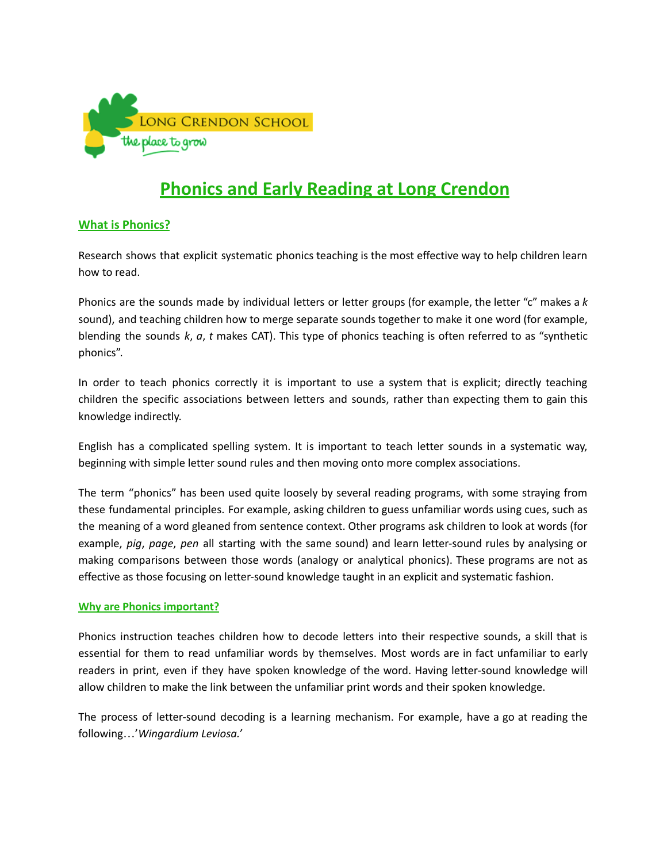

# **Phonics and Early Reading at Long Crendon**

# **What is Phonics?**

Research shows that explicit systematic phonics teaching is the most effective way to help children learn how to read.

Phonics are the sounds made by individual letters or letter groups (for example, the letter "c" makes a *k* sound), and teaching children how to merge separate sounds together to make it one word (for example, blending the sounds *k*, *a*, *t* makes CAT). This type of phonics teaching is often referred to as "synthetic phonics".

In order to teach phonics correctly it is important to use a system that is explicit; directly teaching children the specific associations between letters and sounds, rather than expecting them to gain this knowledge indirectly.

English has a complicated spelling system. It is important to teach letter sounds in a systematic way, beginning with simple letter sound rules and then moving onto more complex associations.

The term "phonics" has been used quite loosely by several reading programs, with some straying from these fundamental principles. For example, asking children to guess unfamiliar words using cues, such as the meaning of a word gleaned from sentence context. Other programs ask children to look at words (for example, *pig*, *page*, *pen* all starting with the same sound) and learn letter-sound rules by analysing or making comparisons between those words (analogy or analytical phonics). These programs are not as effective as those focusing on letter-sound knowledge taught in an explicit and systematic fashion.

# **Why are Phonics important?**

Phonics instruction teaches children how to decode letters into their respective sounds, a skill that is essential for them to read unfamiliar words by themselves. Most words are in fact unfamiliar to early readers in print, even if they have spoken knowledge of the word. Having letter-sound knowledge will allow children to make the link between the unfamiliar print words and their spoken knowledge.

The process of letter-sound decoding is a learning mechanism. For example, have a go at reading the following…'*Wingardium Leviosa.'*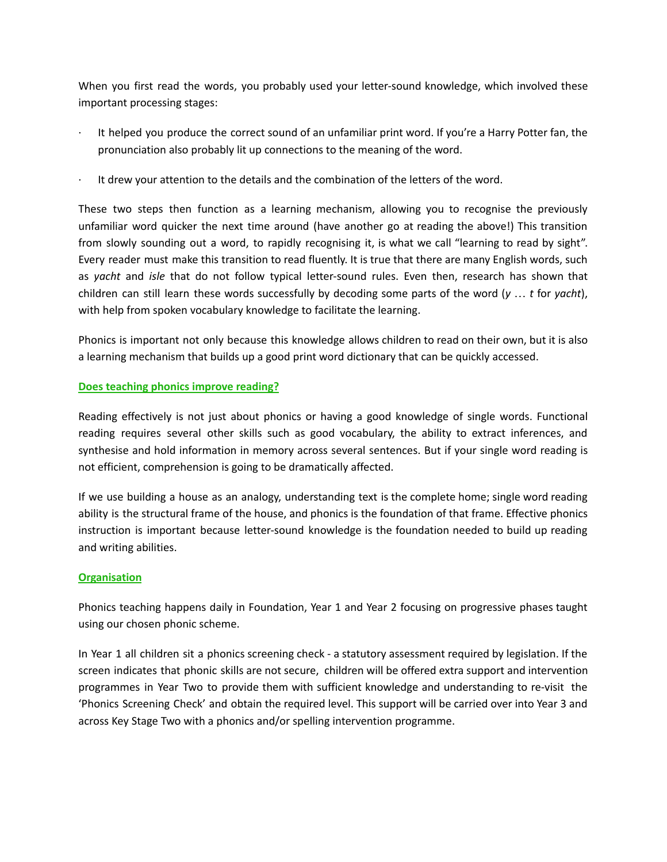When you first read the words, you probably used your letter-sound knowledge, which involved these important processing stages:

- It helped you produce the correct sound of an unfamiliar print word. If you're a Harry Potter fan, the pronunciation also probably lit up connections to the meaning of the word.
- · It drew your attention to the details and the combination of the letters of the word.

These two steps then function as a learning mechanism, allowing you to recognise the previously unfamiliar word quicker the next time around (have another go at reading the above!) This transition from slowly sounding out a word, to rapidly recognising it, is what we call "learning to read by sight". Every reader must make this transition to read fluently. It is true that there are many English words, such as *yacht* and *isle* that do not follow typical letter-sound rules. Even then, research has shown that children can still learn these words successfully by decoding some parts of the word (*y* … *t* for *yacht*), with help from spoken vocabulary knowledge to facilitate the learning.

Phonics is important not only because this knowledge allows children to read on their own, but it is also a learning mechanism that builds up a good print word dictionary that can be quickly accessed.

# **Does teaching phonics improve reading?**

Reading effectively is not just about phonics or having a good knowledge of single words. Functional reading requires several other skills such as good vocabulary, the ability to extract inferences, and synthesise and hold information in memory across several sentences. But if your single word reading is not efficient, comprehension is going to be dramatically affected.

If we use building a house as an analogy, understanding text is the complete home; single word reading ability is the structural frame of the house, and phonics is the foundation of that frame. Effective phonics instruction is important because letter-sound knowledge is the foundation needed to build up reading and writing abilities.

# **Organisation**

Phonics teaching happens daily in Foundation, Year 1 and Year 2 focusing on progressive phases taught using our chosen phonic scheme.

In Year 1 all children sit a phonics screening check - a statutory assessment required by legislation. If the screen indicates that phonic skills are not secure, children will be offered extra support and intervention programmes in Year Two to provide them with sufficient knowledge and understanding to re-visit the 'Phonics Screening Check' and obtain the required level. This support will be carried over into Year 3 and across Key Stage Two with a phonics and/or spelling intervention programme.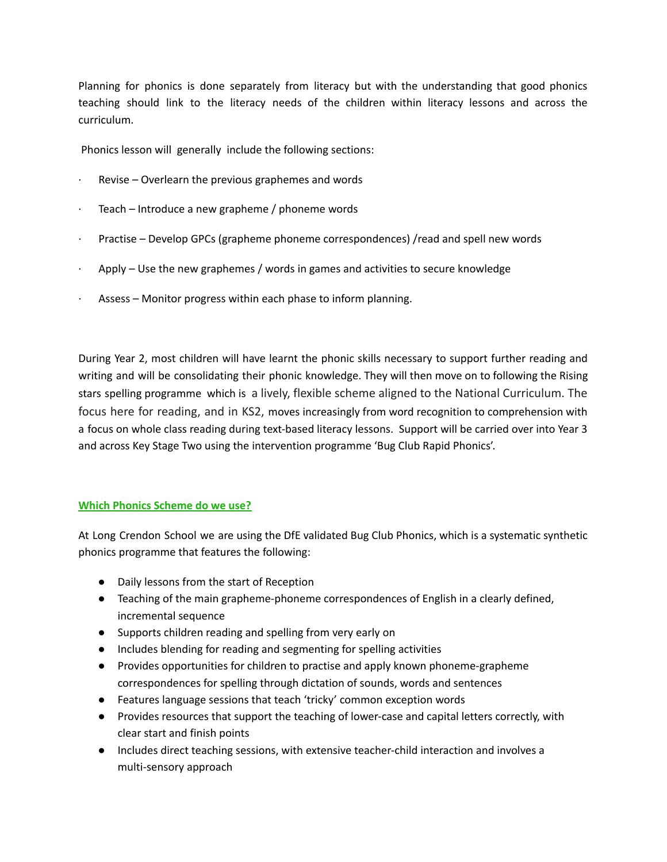Planning for phonics is done separately from literacy but with the understanding that good phonics teaching should link to the literacy needs of the children within literacy lessons and across the curriculum.

Phonics lesson will generally include the following sections:

- Revise Overlearn the previous graphemes and words
- Teach Introduce a new grapheme / phoneme words
- Practise Develop GPCs (grapheme phoneme correspondences) /read and spell new words
- · Apply Use the new graphemes / words in games and activities to secure knowledge
- Assess Monitor progress within each phase to inform planning.

During Year 2, most children will have learnt the phonic skills necessary to support further reading and writing and will be consolidating their phonic knowledge. They will then move on to following the Rising stars spelling programme which is a lively, flexible scheme aligned to the National Curriculum. The focus here for reading, and in KS2, moves increasingly from word recognition to comprehension with a focus on whole class reading during text-based literacy lessons. Support will be carried over into Year 3 and across Key Stage Two using the intervention programme 'Bug Club Rapid Phonics'.

# **Which Phonics Scheme do we use?**

At Long Crendon School we are using the DfE validated Bug Club Phonics, which is a systematic synthetic phonics programme that features the following:

- Daily lessons from the start of Reception
- Teaching of the main grapheme-phoneme correspondences of English in a clearly defined, incremental sequence
- Supports children reading and spelling from very early on
- Includes blending for reading and segmenting for spelling activities
- Provides opportunities for children to practise and apply known phoneme-grapheme correspondences for spelling through dictation of sounds, words and sentences
- Features language sessions that teach 'tricky' common exception words
- Provides resources that support the teaching of lower-case and capital letters correctly, with clear start and finish points
- Includes direct teaching sessions, with extensive teacher-child interaction and involves a multi-sensory approach